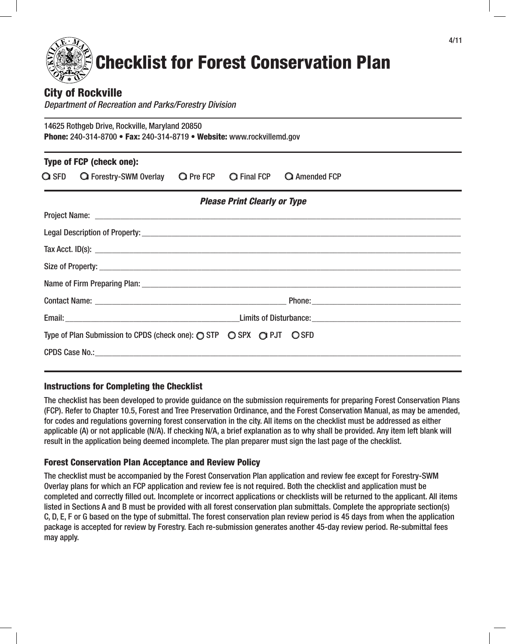# Checklist for Forest Conservation Plan

# City of Rockville

*Department of Recreation and Parks/Forestry Division*

14625 Rothgeb Drive, Rockville, Maryland 20850 Phone: 240-314-8700 • Fax: 240-314-8719 • Website: www.rockvillemd.gov

| Type of FCP (check one): |                                                                                                                                                                                   |  |                                     |                                  |  |  |
|--------------------------|-----------------------------------------------------------------------------------------------------------------------------------------------------------------------------------|--|-------------------------------------|----------------------------------|--|--|
|                          | $\bigcirc$ SFD $\hspace{1.6cm}$ $\bigcirc$ Forestry-SWM Overlay $\hspace{1.6cm}$ $\bigcirc$ Pre FCP $\hspace{1.6cm}$ $\bigcirc$ Final FCP $\hspace{1.6cm}$ $\bigcirc$ Amended FCP |  |                                     |                                  |  |  |
|                          |                                                                                                                                                                                   |  | <b>Please Print Clearly or Type</b> |                                  |  |  |
|                          |                                                                                                                                                                                   |  |                                     |                                  |  |  |
|                          |                                                                                                                                                                                   |  |                                     |                                  |  |  |
|                          |                                                                                                                                                                                   |  |                                     | Tax Acct. ID(s): $\qquad \qquad$ |  |  |
|                          |                                                                                                                                                                                   |  |                                     |                                  |  |  |
|                          |                                                                                                                                                                                   |  |                                     |                                  |  |  |
|                          |                                                                                                                                                                                   |  |                                     |                                  |  |  |
|                          |                                                                                                                                                                                   |  |                                     |                                  |  |  |
|                          | Type of Plan Submission to CPDS (check one): $\bigcirc$ STP $\bigcirc$ SPX $\bigcirc$ PJT $\bigcirc$ SFD                                                                          |  |                                     |                                  |  |  |
|                          |                                                                                                                                                                                   |  |                                     |                                  |  |  |

## Instructions for Completing the Checklist

The checklist has been developed to provide guidance on the submission requirements for preparing Forest Conservation Plans (FCP). Refer to Chapter 10.5, Forest and Tree Preservation Ordinance, and the Forest Conservation Manual, as may be amended, for codes and regulations governing forest conservation in the city. All items on the checklist must be addressed as either applicable (A) or not applicable (N/A). If checking N/A, a brief explanation as to why shall be provided. Any item left blank will result in the application being deemed incomplete. The plan preparer must sign the last page of the checklist.

## Forest Conservation Plan Acceptance and Review Policy

The checklist must be accompanied by the Forest Conservation Plan application and review fee except for Forestry-SWM Overlay plans for which an FCP application and review fee is not required. Both the checklist and application must be completed and correctly filled out. Incomplete or incorrect applications or checklists will be returned to the applicant. All items listed in Sections A and B must be provided with all forest conservation plan submittals. Complete the appropriate section(s) C, D, E, F or G based on the type of submittal. The forest conservation plan review period is 45 days from when the application package is accepted for review by Forestry. Each re-submission generates another 45-day review period. Re-submittal fees may apply.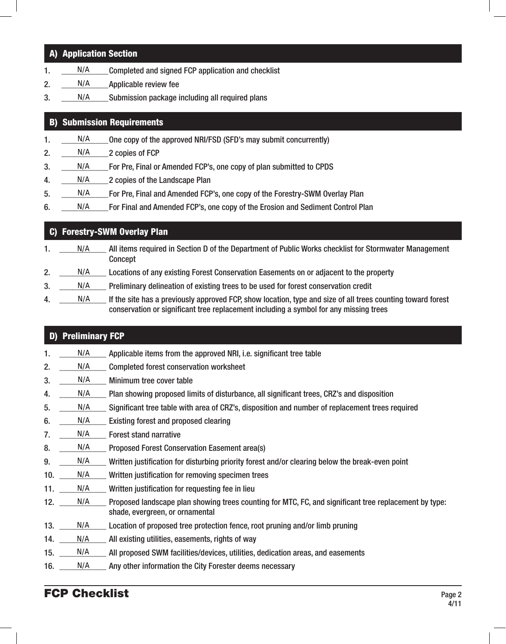# A) Application Section

- 1. N/A Completed and signed FCP application and checklist N/A
- 2. N/A Applicable review fee N/A
- 3. \_\_\_\_\_\_\_N/A \_\_\_\_\_\_\_ Submission package including all required plans N/A

# B) Submission Requirements

- 1. N/A One copy of the approved NRI/FSD (SFD's may submit concurrently) N/A
- 2.  $N/A$  2 copies of FCP N/A
- 3. N/A For Pre, Final or Amended FCP's, one copy of plan submitted to CPDS N/A
- 4. N/A 2 copies of the Landscape Plan N/A
- 5. \_\_\_\_\_\_\_\_\_\_\_For Pre, Final and Amended FCP's, one copy of the Forestry-SWM Overlay Plan N/A
- 6. \_\_\_\_\_\_\_\_\_\_\_For Final and Amended FCP's, one copy of the Erosion and Sediment Control Plan N/A

#### C) Forestry-SWM Overlay Plan 1. N/A All items required in Section D of the Department of Public Works checklist for Stormwater Management Concept 2. \_\_\_\_\_\_\_ N/A \_\_\_\_\_\_ Locations of any existing Forest Conservation Easements on or adjacent to the property 3. N/A Preliminary delineation of existing trees to be used for forest conservation credit 4. \_\_\_\_\_\_ N/A if the site has a previously approved FCP, show location, type and size of all trees counting toward forest conservation or significant tree replacement including a symbol for any missing trees N/A N/A N/A N/A

# D) Preliminary FCP

- 1.  $\_\_\_\_\$  Applicable items from the approved NRI, i.e. significant tree table N/A
- 2. N/A Completed forest conservation worksheet N/A
- 3. N/A Minimum tree cover table N/A
- 4. \_\_\_\_\_\_\_\_ N/A \_\_\_\_\_ Plan showing proposed limits of disturbance, all significant trees, CRZ's and disposition N/A
- 5. N/A Significant tree table with area of CRZ's, disposition and number of replacement trees required N/A
- 6. N/A Existing forest and proposed clearing N/A
- 7. N/A Forest stand narrative N/A
- 8. N/A Proposed Forest Conservation Easement area(s) N/A
- 9. \_\_\_\_\_\_\_\_\_\_\_ Written justification for disturbing priority forest and/or clearing below the break-even point N/A
- 10. N/A Written justification for removing specimen trees N/A
- 11. N/A Written justification for requesting fee in lieu N/A
- 12. N/A Proposed landscape plan showing trees counting for MTC, FC, and significant tree replacement by type: shade, evergreen, or ornamental N/A
- 13. N/A Location of proposed tree protection fence, root pruning and/or limb pruning N/A
- 14. N/A All existing utilities, easements, rights of way N/A
- 15. N/A All proposed SWM facilities/devices, utilities, dedication areas, and easements N/A
- 16. N/A Any other information the City Forester deems necessary N/A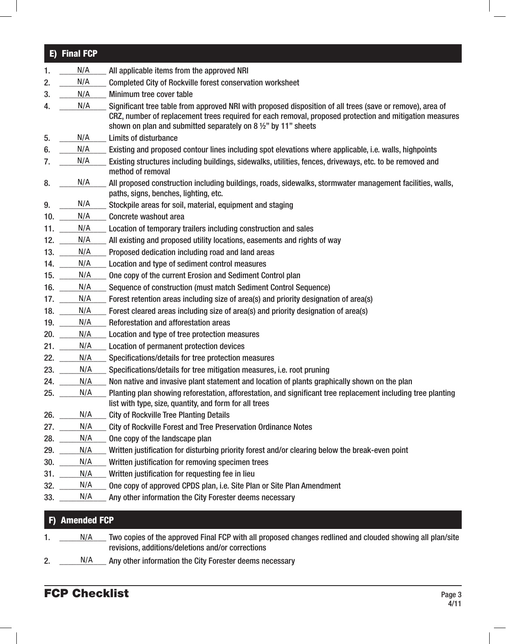#### E) Final FCP 1. N/A All applicable items from the approved NRI 2. \_\_\_\_\_\_\_ N/A \_\_\_\_\_ Completed City of Rockville forest conservation worksheet 3. N/A Minimum tree cover table 4. N/A Significant tree table from approved NRI with proposed disposition of all trees (save or remove), area of CRZ, number of replacement trees required for each removal, proposed protection and mitigation measures shown on plan and submitted separately on 8 ½" by 11" sheets 5. N/A Limits of disturbance 6.  $\Box$  N/A Existing and proposed contour lines including spot elevations where applicable, i.e. walls, highpoints 7. N/A Existing structures including buildings, sidewalks, utilities, fences, driveways, etc. to be removed and method of removal 8.  $\mu$  M/A and proposed construction including buildings, roads, sidewalks, stormwater management facilities, walls, paths, signs, benches, lighting, etc. 9.  $\frac{N}{A}$  Stockpile areas for soil, material, equipment and staging 10. N/A Concrete washout area 11.  $\_\_\_\_\$ N/A  $\_\_\_\$  Location of temporary trailers including construction and sales 12. N/A All existing and proposed utility locations, easements and rights of way 13. N/A Proposed dedication including road and land areas 14. N/A Location and type of sediment control measures 15. N/A One copy of the current Erosion and Sediment Control plan 16. \_\_\_\_\_\_\_\_\_\_\_ Sequence of construction (must match Sediment Control Sequence) 17. N/A Forest retention areas including size of area(s) and priority designation of area(s) 18. N/A Forest cleared areas including size of area(s) and priority designation of area(s) 19. N/A Reforestation and afforestation areas 20. N/A Location and type of tree protection measures 21. \_\_\_\_\_\_\_ N/A \_\_\_\_\_ Location of permanent protection devices 22. N/A Specifications/details for tree protection measures 23. N/A Specifications/details for tree mitigation measures, i.e. root pruning 24. N/A Non native and invasive plant statement and location of plants graphically shown on the plan 25. N/A Planting plan showing reforestation, afforestation, and significant tree replacement including tree planting list with type, size, quantity, and form for all trees 26. N/A City of Rockville Tree Planting Details 27. N/A City of Rockville Forest and Tree Preservation Ordinance Notes 28.  $N/A$  One copy of the landscape plan 29. \_\_\_\_\_\_\_ N/A \_\_\_\_\_ Written justification for disturbing priority forest and/or clearing below the break-even point 30. N/A Written justification for removing specimen trees 31. N/A Written justification for requesting fee in lieu 32.  $\underline{\hspace{1cm}}$  N/A  $\underline{\hspace{1cm}}$  One copy of approved CPDS plan, i.e. Site Plan or Site Plan Amendment 33. N/A Any other information the City Forester deems necessary N/A N/A N/A N/A N/A N/A N/A N/A N/A N/A N/A N/A  $N/A$  $N/A$  $N/A$  $N/A$  $N/A$

# F) Amended FCP N/A<br>nde<br>N/A

- 1. \_\_\_\_\_\_\_\_ N/A \_\_\_\_\_ Two copies of the approved Final FCP with all proposed changes redlined and clouded showing all plan/site revisions, additions/deletions and/or corrections
- 2. N/A Any other information the City Forester deems necessary N/A

# **FCP Checklist** Page 3